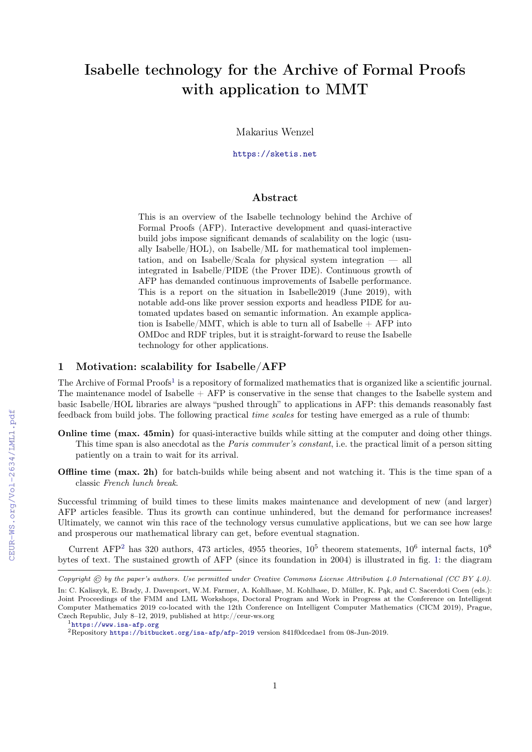# Isabelle technology for the Archive of Formal Proofs with application to MMT

Makarius Wenzel

<https://sketis.net>

#### Abstract

This is an overview of the Isabelle technology behind the Archive of Formal Proofs (AFP). Interactive development and quasi-interactive build jobs impose significant demands of scalability on the logic (usually Isabelle/HOL), on Isabelle/ML for mathematical tool implementation, and on Isabelle/Scala for physical system integration — all integrated in Isabelle/PIDE (the Prover IDE). Continuous growth of AFP has demanded continuous improvements of Isabelle performance. This is a report on the situation in Isabelle2019 (June 2019), with notable add-ons like prover session exports and headless PIDE for automated updates based on semantic information. An example application is Isabelle/MMT, which is able to turn all of Isabelle  $+$  AFP into OMDoc and RDF triples, but it is straight-forward to reuse the Isabelle technology for other applications.

## 1 Motivation: scalability for Isabelle/AFP

The Archive of Formal Proofs<sup>[1](#page-0-0)</sup> is a repository of formalized mathematics that is organized like a scientific journal. The maintenance model of Isabelle  $+$  AFP is conservative in the sense that changes to the Isabelle system and basic Isabelle/HOL libraries are always "pushed through" to applications in AFP: this demands reasonably fast feedback from build jobs. The following practical time scales for testing have emerged as a rule of thumb:

- **Online time (max. 45min)** for quasi-interactive builds while sitting at the computer and doing other things. This time span is also anecdotal as the Paris commuter's constant, i.e. the practical limit of a person sitting patiently on a train to wait for its arrival.
- **Offline time (max. 2h)** for batch-builds while being absent and not watching it. This is the time span of a classic French lunch break.

Successful trimming of build times to these limits makes maintenance and development of new (and larger) AFP articles feasible. Thus its growth can continue unhindered, but the demand for performance increases! Ultimately, we cannot win this race of the technology versus cumulative applications, but we can see how large and prosperous our mathematical library can get, before eventual stagnation.

Current AFP<sup>[2](#page-0-1)</sup> has 320 authors, 473 articles, 4955 theories,  $10^5$  theorem statements,  $10^6$  internal facts,  $10^8$ bytes of text. The sustained growth of AFP (since its foundation in 2004) is illustrated in fig. [1:](#page--1-0) the diagram

Copyright  $\odot$  by the paper's authors. Use permitted under Creative Commons License Attribution 4.0 International (CC BY 4.0).

In: C. Kaliszyk, E. Brady, J. Davenport, W.M. Farmer, A. Kohlhase, M. Kohlhase, D. Müller, K. Pąk, and C. Sacerdoti Coen (eds.): Joint Proceedings of the FMM and LML Workshops, Doctoral Program and Work in Progress at the Conference on Intelligent Computer Mathematics 2019 co-located with the 12th Conference on Intelligent Computer Mathematics (CICM 2019), Prague, Czech Republic, July 8–12, 2019, published at http://ceur-ws.org

<span id="page-0-0"></span><sup>1</sup><https://www.isa-afp.org>

<span id="page-0-1"></span><sup>2</sup>Repository <https://bitbucket.org/isa-afp/afp-2019> version 841f0dcedae1 from 08-Jun-2019.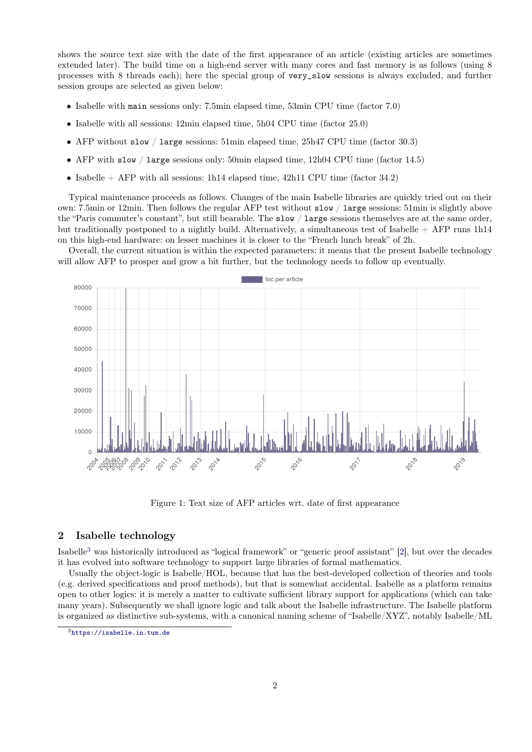shows the source text size with the date of the first appearance of an article (existing articles are sometimes extended later). The build time on a high-end server with many cores and fast memory is as follows (using 8 processes with 8 threads each); here the special group of very\_slow sessions is always excluded, and further session groups are selected as given below:

- Isabelle with main sessions only: 7.5min elapsed time, 53min CPU time (factor 7.0)
- Isabelle with all sessions: 12min elapsed time, 5h04 CPU time (factor 25.0)
- AFP without slow / large sessions: 51min elapsed time, 25h47 CPU time (factor 30.3)
- AFP with slow / large sessions only: 50min elapsed time, 12h04 CPU time (factor 14.5)
- Isabelle  $+$  AFP with all sessions: 1h14 elapsed time, 42h11 CPU time (factor 34.2)

Typical maintenance proceeds as follows. Changes of the main Isabelle libraries are quickly tried out on their own: 7.5min or 12min. Then follows the regular AFP test without slow / large sessions: 51min is slightly above the "Paris commuter's constant", but still bearable. The slow / large sessions themselves are at the same order, but traditionally postponed to a nightly build. Alternatively, a simultaneous test of Isabelle + AFP runs 1h14 on this high-end hardware: on lesser machines it is closer to the "French lunch break" of 2h.

Overall, the current situation is within the expected parameters: it means that the present Isabelle technology will allow AFP to prosper and grow a bit further, but the technology needs to follow up eventually.



Figure 1: Text size of AFP articles wrt. date of first appearance

### 2 Isabelle technology

Isabelle[3](#page-1-0) was historically introduced as "logical framework" or "generic proof assistant" [\[2\]](#page-4-0), but over the decades it has evolved into software technology to support large libraries of formal mathematics.

Usually the object-logic is Isabelle/HOL, because that has the best-developed collection of theories and tools (e.g. derived specifications and proof methods), but that is somewhat accidental. Isabelle as a platform remains open to other logics: it is merely a matter to cultivate sufficient library support for applications (which can take many years). Subsequently we shall ignore logic and talk about the Isabelle infrastructure. The Isabelle platform is organized as distinctive sub-systems, with a canonical naming scheme of "Isabelle/XYZ", notably Isabelle/ML

<span id="page-1-0"></span><sup>3</sup><https://isabelle.in.tum.de>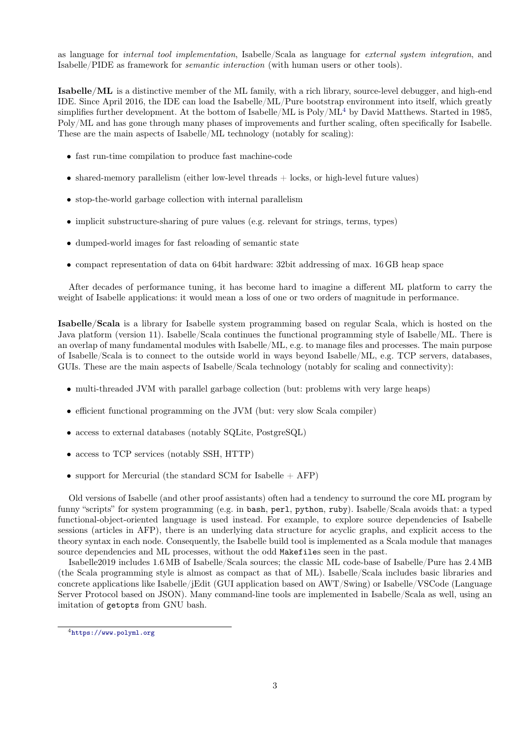as language for internal tool implementation, Isabelle/Scala as language for external system integration, and Isabelle/PIDE as framework for semantic interaction (with human users or other tools).

Isabelle/ML is a distinctive member of the ML family, with a rich library, source-level debugger, and high-end IDE. Since April 2016, the IDE can load the Isabelle/ML/Pure bootstrap environment into itself, which greatly simplifies further development. At the bottom of Isabelle/ML is Poly/ML<sup>[4](#page-2-0)</sup> by David Matthews. Started in 1985, Poly/ML and has gone through many phases of improvements and further scaling, often specifically for Isabelle. These are the main aspects of Isabelle/ML technology (notably for scaling):

- fast run-time compilation to produce fast machine-code
- shared-memory parallelism (either low-level threads + locks, or high-level future values)
- stop-the-world garbage collection with internal parallelism
- implicit substructure-sharing of pure values (e.g. relevant for strings, terms, types)
- dumped-world images for fast reloading of semantic state
- compact representation of data on 64bit hardware: 32bit addressing of max. 16 GB heap space

After decades of performance tuning, it has become hard to imagine a different ML platform to carry the weight of Isabelle applications: it would mean a loss of one or two orders of magnitude in performance.

Isabelle/Scala is a library for Isabelle system programming based on regular Scala, which is hosted on the Java platform (version 11). Isabelle/Scala continues the functional programming style of Isabelle/ML. There is an overlap of many fundamental modules with Isabelle/ML, e.g. to manage files and processes. The main purpose of Isabelle/Scala is to connect to the outside world in ways beyond Isabelle/ML, e.g. TCP servers, databases, GUIs. These are the main aspects of Isabelle/Scala technology (notably for scaling and connectivity):

- multi-threaded JVM with parallel garbage collection (but: problems with very large heaps)
- efficient functional programming on the JVM (but: very slow Scala compiler)
- access to external databases (notably SQLite, PostgreSQL)
- access to TCP services (notably SSH, HTTP)
- support for Mercurial (the standard SCM for Isabelle  $+$  AFP)

Old versions of Isabelle (and other proof assistants) often had a tendency to surround the core ML program by funny "scripts" for system programming (e.g. in bash, perl, python, ruby). Isabelle/Scala avoids that: a typed functional-object-oriented language is used instead. For example, to explore source dependencies of Isabelle sessions (articles in AFP), there is an underlying data structure for acyclic graphs, and explicit access to the theory syntax in each node. Consequently, the Isabelle build tool is implemented as a Scala module that manages source dependencies and ML processes, without the odd Makefiles seen in the past.

Isabelle2019 includes 1.6 MB of Isabelle/Scala sources; the classic ML code-base of Isabelle/Pure has 2.4 MB (the Scala programming style is almost as compact as that of ML). Isabelle/Scala includes basic libraries and concrete applications like Isabelle/jEdit (GUI application based on AWT/Swing) or Isabelle/VSCode (Language Server Protocol based on JSON). Many command-line tools are implemented in Isabelle/Scala as well, using an imitation of getopts from GNU bash.

<span id="page-2-0"></span><sup>4</sup><https://www.polyml.org>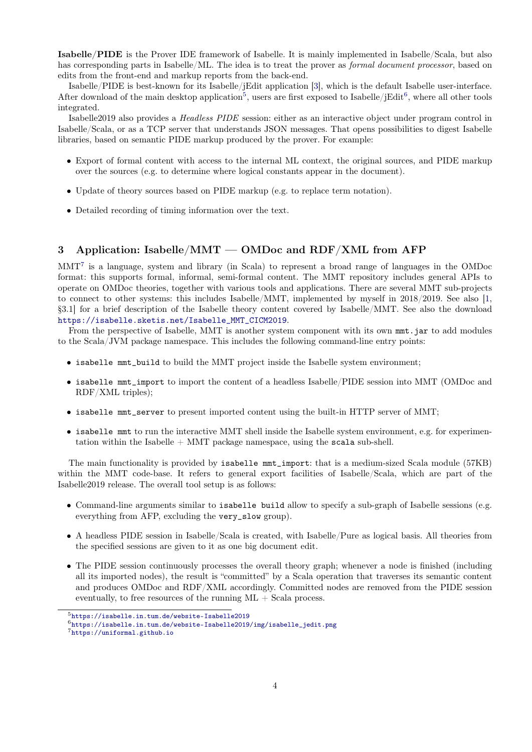Isabelle/PIDE is the Prover IDE framework of Isabelle. It is mainly implemented in Isabelle/Scala, but also has corresponding parts in Isabelle/ML. The idea is to treat the prover as *formal document processor*, based on edits from the front-end and markup reports from the back-end.

Isabelle/PIDE is best-known for its Isabelle/jEdit application [\[3\]](#page-4-1), which is the default Isabelle user-interface. After download of the main desktop application<sup>[5](#page-3-0)</sup>, users are first exposed to Isabelle/jEdit<sup>[6](#page-3-1)</sup>, where all other tools integrated.

Isabelle2019 also provides a Headless PIDE session: either as an interactive object under program control in Isabelle/Scala, or as a TCP server that understands JSON messages. That opens possibilities to digest Isabelle libraries, based on semantic PIDE markup produced by the prover. For example:

- Export of formal content with access to the internal ML context, the original sources, and PIDE markup over the sources (e.g. to determine where logical constants appear in the document).
- Update of theory sources based on PIDE markup (e.g. to replace term notation).
- Detailed recording of timing information over the text.

# 3 Application: Isabelle/MMT — OMDoc and RDF/XML from AFP

MMT[7](#page-3-2) is a language, system and library (in Scala) to represent a broad range of languages in the OMDoc format: this supports formal, informal, semi-formal content. The MMT repository includes general APIs to operate on OMDoc theories, together with various tools and applications. There are several MMT sub-projects to connect to other systems: this includes Isabelle/MMT, implemented by myself in 2018/2019. See also [\[1,](#page-4-2) §3.1] for a brief description of the Isabelle theory content covered by Isabelle/MMT. See also the download [https://isabelle.sketis.net/Isabelle\\_MMT\\_CICM2019](https://isabelle.sketis.net/Isabelle_MMT_CICM2019).

From the perspective of Isabelle, MMT is another system component with its own  $mnt$ , jar to add modules to the Scala/JVM package namespace. This includes the following command-line entry points:

- isabelle mmt\_build to build the MMT project inside the Isabelle system environment;
- isabelle mmt\_import to import the content of a headless Isabelle/PIDE session into MMT (OMDoc and RDF/XML triples);
- isabelle mmt\_server to present imported content using the built-in HTTP server of MMT;
- isabelle mmt to run the interactive MMT shell inside the Isabelle system environment, e.g. for experimentation within the Isabelle  $+$  MMT package namespace, using the scala sub-shell.

The main functionality is provided by isabelle mmt\_import: that is a medium-sized Scala module (57KB) within the MMT code-base. It refers to general export facilities of Isabelle/Scala, which are part of the Isabelle2019 release. The overall tool setup is as follows:

- Command-line arguments similar to isabelle build allow to specify a sub-graph of Isabelle sessions (e.g. everything from AFP, excluding the very\_slow group).
- A headless PIDE session in Isabelle/Scala is created, with Isabelle/Pure as logical basis. All theories from the specified sessions are given to it as one big document edit.
- The PIDE session continuously processes the overall theory graph; whenever a node is finished (including all its imported nodes), the result is "committed" by a Scala operation that traverses its semantic content and produces OMDoc and RDF/XML accordingly. Committed nodes are removed from the PIDE session eventually, to free resources of the running  $ML + Scal$  process.

<span id="page-3-0"></span><sup>5</sup><https://isabelle.in.tum.de/website-Isabelle2019>

<span id="page-3-1"></span> $6$ [https://isabelle.in.tum.de/website-Isabelle2019/img/isabelle\\_jedit.png](https://isabelle.in.tum.de/website-Isabelle2019/img/isabelle_jedit.png)

<span id="page-3-2"></span><sup>7</sup><https://uniformal.github.io>